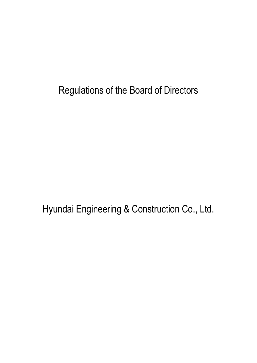Regulations of the Board of Directors

Hyundai Engineering & Construction Co., Ltd.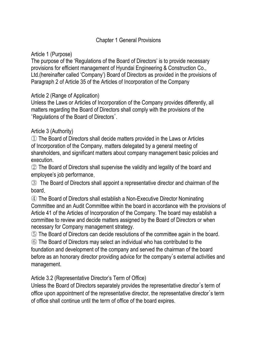### Chapter 1 General Provisions

### Article 1 (Purpose)

The purpose of the 'Regulations of the Board of Directors' is to provide necessary provisions for efficient management of Hyundai Engineering & Construction Co., Ltd.(hereinafter called 'Company') Board of Directors as provided in the provisions of Paragraph 2 of Article 35 of the Articles of Incorporation of the Company

### Article 2 (Range of Application)

Unless the Laws or Articles of Incorporation of the Company provides differently, all matters regarding the Board of Directors shall comply with the provisions of the 'Regulations of the Board of Directors'.

### Article 3 (Authority)

① The Board of Directors shall decide matters provided in the Laws or Articles of Incorporation of the Company, matters delegated by a general meeting of shareholders, and significant matters about company management basic policies and execution.

② The Board of Directors shall supervise the validity and legality of the board and employee's job performance.

③ The Board of Directors shall appoint a representative director and chairman of the board.

④ The Board of Directors shall establish a Non-Executive Director Nominating Committee and an Audit Committee within the board in accordance with the provisions of Article 41 of the Articles of Incorporation of the Company. The board may establish a committee to review and decide matters assigned by the Board of Directors or when necessary for Company management strategy.

⑤ The Board of Directors can decide resolutions of the committee again in the board.

⑥ The Board of Directors may select an individual who has contributed to the foundation and development of the company and served the chairman of the board before as an honorary director providing advice for the company's external activities and management.

Article 3.2 (Representative Director's Term of Office)

Unless the Board of Directors separately provides the representative director's term of office upon appointment of the representative director, the representative director's term of office shall continue until the term of office of the board expires.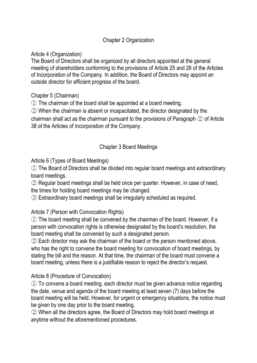## Chapter 2 Organization

Article 4 (Organization)

The Board of Directors shall be organized by all directors appointed at the general meeting of shareholders conforming to the provisions of Article 25 and 26 of the Articles of Incorporation of the Company. In addition, the Board of Directors may appoint an outside director for efficient progress of the board.

Chapter 5 (Chairman)

① The chairman of the board shall be appointed at a board meeting.

② When the chairman is absent or incapacitated, the director designated by the chairman shall act as the chairman pursuant to the provisions of Paragraph ② of Article 38 of the Articles of Incorporation of the Company.

## Chapter 3 Board Meetings

Article 6 (Types of Board Meetings)

① The Board of Directors shall be divided into regular board meetings and extraordinary board meetings.

② Regular board meetings shall be held once per quarter. However, in case of need, the times for holding board meetings may be changed.

③ Extraordinary board meetings shall be irregularly scheduled as required.

Article 7 (Person with Convocation Rights)

① The board meeting shall be convened by the chairman of the board. However, if a person with convocation rights is otherwise designated by the board's resolution, the board meeting shall be convened by such a designated person.

② Each director may ask the chairman of the board or the person mentioned above, who has the right to convene the board meeting for convocation of board meetings, by stating the bill and the reason. At that time, the chairman of the board must convene a board meeting, unless there is a justifiable reason to reject the director's request.

Article 8 (Procedure of Convocation)

① To convene a board meeting, each director must be given advance notice regarding the date, venue and agenda of the board meeting at least seven (7) days before the board meeting will be held. However, for urgent or emergency situations, the notice must be given by one day prior to the board meeting.

② When all the directors agree, the Board of Directors may hold board meetings at anytime without the aforementioned procedures.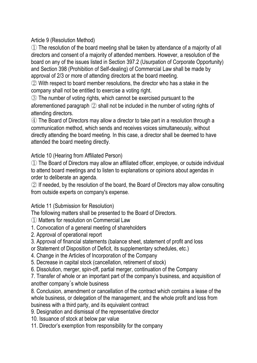Article 9 (Resolution Method)

① The resolution of the board meeting shall be taken by attendance of a majority of all directors and consent of a majority of attended members. However, a resolution of the board on any of the issues listed in Section 397.2 (Usurpation of Corporate Opportunity) and Section 398 (Prohibition of Self-dealing) of Commercial Law shall be made by approval of 2/3 or more of attending directors at the board meeting.

② With respect to board member resolutions, the director who has a stake in the company shall not be entitled to exercise a voting right.

③ The number of voting rights, which cannot be exercised pursuant to the aforementioned paragraph ② shall not be included in the number of voting rights of attending directors.

④ The Board of Directors may allow a director to take part in a resolution through a communication method, which sends and receives voices simultaneously, without directly attending the board meeting. In this case, a director shall be deemed to have attended the board meeting directly.

Article 10 (Hearing from Affiliated Person)

① The Board of Directors may allow an affiliated officer, employee, or outside individual to attend board meetings and to listen to explanations or opinions about agendas in order to deliberate an agenda.

② If needed, by the resolution of the board, the Board of Directors may allow consulting from outside experts on company's expense.

Article 11 (Submission for Resolution)

The following matters shall be presented to the Board of Directors.

① Matters for resolution on Commercial Law

- 1. Convocation of a general meeting of shareholders
- 2. Approval of operational report
- 3. Approval of financial statements (balance sheet, statement of profit and loss
- or Statement of Disposition of Deficit, its supplementary schedules, etc.)
- 4. Change in the Articles of Incorporation of the Company
- 5. Decrease in capital stock (cancellation, retirement of stock)
- 6. Dissolution, merger, spin-off, partial merger, continuation of the Company

7. Transfer of whole or an important part of the company's business, and acquisition of another company's whole business

8. Conclusion, amendment or cancellation of the contract which contains a lease of the whole business, or delegation of the management, and the whole profit and loss from business with a third party, and its equivalent contract

- 9. Designation and dismissal of the representative director
- 10. Issuance of stock at below par value
- 11. Director's exemption from responsibility for the company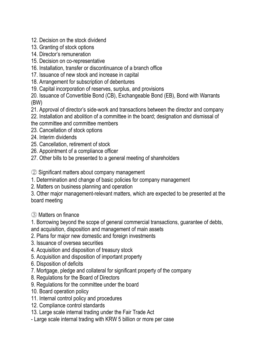- 12. Decision on the stock dividend
- 13. Granting of stock options
- 14. Director's remuneration
- 15. Decision on co-representative
- 16. Installation, transfer or discontinuance of a branch office
- 17. Issuance of new stock and increase in capital
- 18. Arrangement for subscription of debentures
- 19. Capital incorporation of reserves, surplus, and provisions

20. Issuance of Convertible Bond (CB), Exchangeable Bond (EB), Bond with Warrants (BW)

- 21. Approval of director's side-work and transactions between the director and company
- 22. Installation and abolition of a committee in the board; designation and dismissal of the committee and committee members
- 23. Cancellation of stock options
- 24. Interim dividends
- 25. Cancellation, retirement of stock
- 26. Appointment of a compliance officer
- 27. Other bills to be presented to a general meeting of shareholders
- ② Significant matters about company management
- 1. Determination and change of basic policies for company management
- 2. Matters on business planning and operation

3. Other major management-relevant matters, which are expected to be presented at the board meeting

③ Matters on finance

1. Borrowing beyond the scope of general commercial transactions, guarantee of debts, and acquisition, disposition and management of main assets

- 2. Plans for major new domestic and foreign investments
- 3. Issuance of oversea securities
- 4. Acquisition and disposition of treasury stock
- 5. Acquisition and disposition of important property
- 6. Disposition of deficits
- 7. Mortgage, pledge and collateral for significant property of the company
- 8. Regulations for the Board of Directors
- 9. Regulations for the committee under the board
- 10. Board operation policy
- 11. Internal control policy and procedures
- 12. Compliance control standards
- 13. Large scale internal trading under the Fair Trade Act
- Large scale internal trading with KRW 5 billion or more per case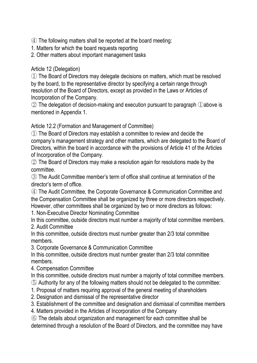④ The following matters shall be reported at the board meeting:

1. Matters for which the board requests reporting

2. Other matters about important management tasks

### Article 12 (Delegation)

① The Board of Directors may delegate decisions on matters, which must be resolved by the board, to the representative director by specifying a certain range through resolution of the Board of Directors, except as provided in the Laws or Articles of Incorporation of the Company.

② The delegation of decision-making and execution pursuant to paragraph ①above is mentioned in Appendix 1.

Article 12.2 (Formation and Management of Committee)

① The Board of Directors may establish a committee to review and decide the company's management strategy and other matters, which are delegated to the Board of Directors, within the board in accordance with the provisions of Article 41 of the Articles of Incorporation of the Company.

② The Board of Directors may make a resolution again for resolutions made by the committee.

③ The Audit Committee member's term of office shall continue at termination of the director's term of office.

④ The Audit Committee, the Corporate Governance & Communication Committee and the Compensation Committee shall be organized by three or more directors respectively. However, other committees shall be organized by two or more directors as follows:

1. Non-Executive Director Nominating Committee

In this committee, outside directors must number a majority of total committee members. 2. Audit Committee

In this committee, outside directors must number greater than 2/3 total committee members.

3. Corporate Governance & Communication Committee

In this committee, outside directors must number greater than 2/3 total committee members.

4. Compensation Committee

In this committee, outside directors must number a majority of total committee members.

⑤ Authority for any of the following matters should not be delegated to the committee:

- 1. Proposal of matters requiring approval of the general meeting of shareholders
- 2. Designation and dismissal of the representative director
- 3. Establishment of the committee and designation and dismissal of committee members

4. Matters provided in the Articles of Incorporation of the Company

⑥ The details about organization and management for each committee shall be determined through a resolution of the Board of Directors, and the committee may have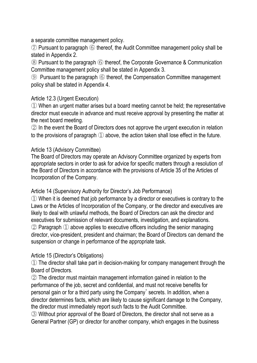a separate committee management policy.

⑦ Pursuant to paragraph ⑥ thereof, the Audit Committee management policy shall be stated in Appendix 2.

⑧ Pursuant to the paragraph ⑥ thereof, the Corporate Governance & Communication Committee management policy shall be stated in Appendix 3.

⑨ Pursuant to the paragraph ⑥ thereof, the Compensation Committee management policy shall be stated in Appendix 4.

# Article 12.3 (Urgent Execution)

① When an urgent matter arises but a board meeting cannot be held; the representative director must execute in advance and must receive approval by presenting the matter at the next board meeting.

② In the event the Board of Directors does not approve the urgent execution in relation to the provisions of paragraph ① above, the action taken shall lose effect in the future.

## Article 13 (Advisory Committee)

The Board of Directors may operate an Advisory Committee organized by experts from appropriate sectors in order to ask for advice for specific matters through a resolution of the Board of Directors in accordance with the provisions of Article 35 of the Articles of Incorporation of the Company.

### Article 14 (Supervisory Authority for Director's Job Performance)

① When it is deemed that job performance by a director or executives is contrary to the Laws or the Articles of Incorporation of the Company, or the director and executives are likely to deal with unlawful methods, the Board of Directors can ask the director and executives for submission of relevant documents, investigation, and explanations. ② Paragraph ① above applies to executive officers including the senior managing director, vice-president, president and chairman; the Board of Directors can demand the suspension or change in performance of the appropriate task.

# Article 15 (Director's Obligations)

① The director shall take part in decision-making for company management through the Board of Directors.

② The director must maintain management information gained in relation to the performance of the job, secret and confidential, and must not receive benefits for personal gain or for a third party using the Company' secrets. In addition, when a director determines facts, which are likely to cause significant damage to the Company, the director must immediately report such facts to the Audit Committee.

③ Without prior approval of the Board of Directors, the director shall not serve as a General Partner (GP) or director for another company, which engages in the business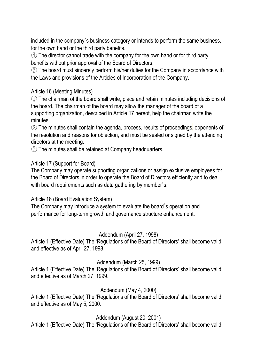included in the company's business category or intends to perform the same business, for the own hand or the third party benefits.

④ The director cannot trade with the company for the own hand or for third party benefits without prior approval of the Board of Directors.

⑤ The board must sincerely perform his/her duties for the Company in accordance with the Laws and provisions of the Articles of Incorporation of the Company.

### Article 16 (Meeting Minutes)

① The chairman of the board shall write, place and retain minutes including decisions of the board. The chairman of the board may allow the manager of the board of a supporting organization, described in Article 17 hereof, help the chairman write the minutes.

② The minutes shall contain the agenda, process, results of proceedings, opponents of the resolution and reasons for objection, and must be sealed or signed by the attending directors at the meeting.

③ The minutes shall be retained at Company headquarters.

## Article 17 (Support for Board)

The Company may operate supporting organizations or assign exclusive employees for the Board of Directors in order to operate the Board of Directors efficiently and to deal with board requirements such as data gathering by member's.

### Article 18 (Board Evaluation System)

The Company may introduce a system to evaluate the board's operation and performance for long-term growth and governance structure enhancement.

# Addendum (April 27, 1998)

Article 1 (Effective Date) The 'Regulations of the Board of Directors' shall become valid and effective as of April 27, 1998.

# Addendum (March 25, 1999)

Article 1 (Effective Date) The 'Regulations of the Board of Directors' shall become valid and effective as of March 27, 1999.

# Addendum (May 4, 2000)

Article 1 (Effective Date) The 'Regulations of the Board of Directors' shall become valid and effective as of May 5, 2000.

# Addendum (August 20, 2001)

Article 1 (Effective Date) The 'Regulations of the Board of Directors' shall become valid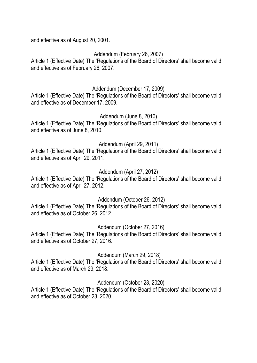and effective as of August 20, 2001.

Addendum (February 26, 2007)

Article 1 (Effective Date) The 'Regulations of the Board of Directors' shall become valid and effective as of February 26, 2007.

## Addendum (December 17, 2009)

Article 1 (Effective Date) The 'Regulations of the Board of Directors' shall become valid and effective as of December 17, 2009.

### Addendum (June 8, 2010)

Article 1 (Effective Date) The 'Regulations of the Board of Directors' shall become valid and effective as of June 8, 2010.

### Addendum (April 29, 2011)

Article 1 (Effective Date) The 'Regulations of the Board of Directors' shall become valid and effective as of April 29, 2011.

## Addendum (April 27, 2012)

Article 1 (Effective Date) The 'Regulations of the Board of Directors' shall become valid and effective as of April 27, 2012.

### Addendum (October 26, 2012)

Article 1 (Effective Date) The 'Regulations of the Board of Directors' shall become valid and effective as of October 26, 2012.

### Addendum (October 27, 2016)

Article 1 (Effective Date) The 'Regulations of the Board of Directors' shall become valid and effective as of October 27, 2016.

### Addendum (March 29, 2018)

Article 1 (Effective Date) The 'Regulations of the Board of Directors' shall become valid and effective as of March 29, 2018.

### Addendum (October 23, 2020)

Article 1 (Effective Date) The 'Regulations of the Board of Directors' shall become valid and effective as of October 23, 2020.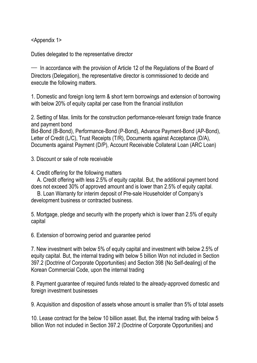<Appendix 1>

Duties delegated to the representative director

─ In accordance with the provision of Article 12 of the Regulations of the Board of Directors (Delegation), the representative director is commissioned to decide and execute the following matters.

1. Domestic and foreign long term & short term borrowings and extension of borrowing with below 20% of equity capital per case from the financial institution

2. Setting of Max. limits for the construction performance-relevant foreign trade finance and payment bond

Bid-Bond (B-Bond), Performance-Bond (P-Bond), Advance Payment-Bond (AP-Bond), Letter of Credit (L/C), Trust Receipts (T/R), Documents against Acceptance (D/A), Documents against Payment (D/P), Account Receivable Collateral Loan (ARC Loan)

3. Discount or sale of note receivable

4. Credit offering for the following matters

A. Credit offering with less 2.5% of equity capital. But, the additional payment bond does not exceed 30% of approved amount and is lower than 2.5% of equity capital.

B. Loan Warranty for interim deposit of Pre-sale Householder of Company's development business or contracted business.

5. Mortgage, pledge and security with the property which is lower than 2.5% of equity capital

6. Extension of borrowing period and guarantee period

7. New investment with below 5% of equity capital and investment with below 2.5% of equity capital. But, the internal trading with below 5 billion Won not included in Section 397.2 (Doctrine of Corporate Opportunities) and Section 398 (No Self-dealing) of the Korean Commercial Code, upon the internal trading

8. Payment guarantee of required funds related to the already-approved domestic and foreign investment businesses

9. Acquisition and disposition of assets whose amount is smaller than 5% of total assets

10. Lease contract for the below 10 billion asset. But, the internal trading with below 5 billion Won not included in Section 397.2 (Doctrine of Corporate Opportunities) and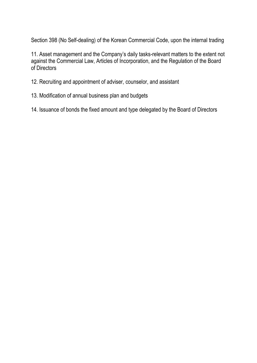Section 398 (No Self-dealing) of the Korean Commercial Code, upon the internal trading

11. Asset management and the Company's daily tasks-relevant matters to the extent not against the Commercial Law, Articles of Incorporation, and the Regulation of the Board of Directors

12. Recruiting and appointment of adviser, counselor, and assistant

13. Modification of annual business plan and budgets

14. Issuance of bonds the fixed amount and type delegated by the Board of Directors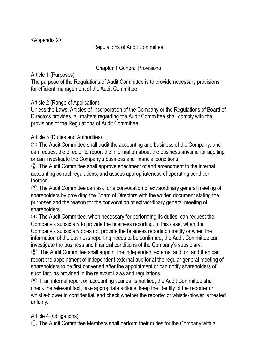<Appendix 2>

## Regulations of Audit Committee

### Chapter 1 General Provisions

Article 1 (Purposes)

The purpose of the Regulations of Audit Committee is to provide necessary provisions for efficient management of the Audit Committee

### Article 2 (Range of Application)

Unless the Laws, Articles of Incorporation of the Company or the Regulations of Board of Directors provides, all matters regarding the Audit Committee shall comply with the provisions of the Regulations of Audit Committee.

## Article 3 (Duties and Authorities)

① The Audit Committee shall audit the accounting and business of the Company, and can request the director to report the information about the business anytime for auditing or can investigate the Company's business and financial conditions.

② The Audit Committee shall approve enactment of and amendment to the internal accounting control regulations, and assess appropriateness of operating condition thereon.

③ The Audit Committee can ask for a convocation of extraordinary general meeting of shareholders by providing the Board of Directors with the written document stating the purposes and the reason for the convocation of extraordinary general meeting of shareholders.

④ The Audit Committee, when necessary for performing its duties, can request the Company's subsidiary to provide the business reporting. In this case, when the Company's subsidiary does not provide the business reporting directly or when the information of the business reporting needs to be confirmed, the Audit Committee can investigate the business and financial conditions of the Company's subsidiary.

⑤ The Audit Committee shall appoint the independent external auditor, and then can report the appointment of independent external auditor at the regular general meeting of shareholders to be first convened after the appointment or can notify shareholders of such fact, as provided in the relevant Laws and regulations.

⑥ If an internal report on accounting scandal is notified, the Audit Committee shall check the relevant fact, take appropriate actions, keep the identity of the reporter or whistle-blower in confidential, and check whether the reporter or whistle-blower is treated unfairly.

# Article 4 (Obligations)

① The Audit Committee Members shall perform their duties for the Company with a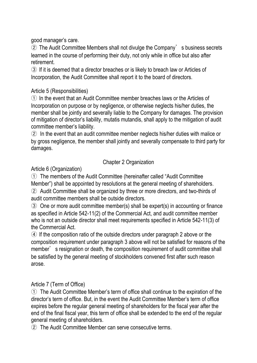good manager's care.

② The Audit Committee Members shall not divulge the Company' s business secrets learned in the course of performing their duty, not only while in office but also after retirement.

③ If it is deemed that a director breaches or is likely to breach law or Articles of Incorporation, the Audit Committee shall report it to the board of directors.

### Article 5 (Responsibilities)

① In the event that an Audit Committee member breaches laws or the Articles of Incorporation on purpose or by negligence, or otherwise neglects his/her duties, the member shall be jointly and severally liable to the Company for damages. The provision of mitigation of director's liability, mutatis mutandis, shall apply to the mitigation of audit committee member's liability.

② In the event that an audit committee member neglects his/her duties with malice or by gross negligence, the member shall jointly and severally compensate to third party for damages.

# Chapter 2 Organization

Article 6 (Organization)

① The members of the Audit Committee (hereinafter called "Audit Committee Member") shall be appointed by resolutions at the general meeting of shareholders.

② Audit Committee shall be organized by three or more directors, and two-thirds of audit committee members shall be outside directors.

③ One or more audit committee member(s) shall be expert(s) in accounting or finance as specified in Article 542-11(2) of the Commercial Act, and audit committee member who is not an outside director shall meet requirements specified in Article 542-11(3) of the Commercial Act.

④ If the composition ratio of the outside directors under paragraph 2 above or the composition requirement under paragraph 3 above will not be satisfied for reasons of the member' s resignation or death, the composition requirement of audit committee shall be satisfied by the general meeting of stockholders convened first after such reason arose.

# Article 7 (Term of Office)

① The Audit Committee Member's term of office shall continue to the expiration of the director's term of office. But, in the event the Audit Committee Member's term of office expires before the regular general meeting of shareholders for the fiscal year after the end of the final fiscal year, this term of office shall be extended to the end of the regular general meeting of shareholders.

② The Audit Committee Member can serve consecutive terms.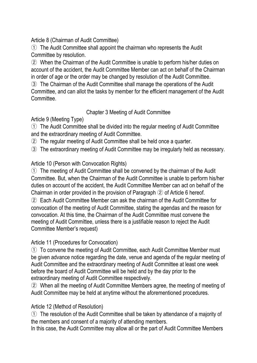Article 8 (Chairman of Audit Committee)

① The Audit Committee shall appoint the chairman who represents the Audit Committee by resolution.

② When the Chairman of the Audit Committee is unable to perform his/her duties on account of the accident, the Audit Committee Member can act on behalf of the Chairman in order of age or the order may be changed by resolution of the Audit Committee.

③ The Chairman of the Audit Committee shall manage the operations of the Audit Committee, and can allot the tasks by member for the efficient management of the Audit Committee.

# Chapter 3 Meeting of Audit Committee

Article 9 (Meeting Type)

① The Audit Committee shall be divided into the regular meeting of Audit Committee and the extraordinary meeting of Audit Committee.

② The regular meeting of Audit Committee shall be held once a quarter.

③ The extraordinary meeting of Audit Committee may be irregularly held as necessary.

# Article 10 (Person with Convocation Rights)

① The meeting of Audit Committee shall be convened by the chairman of the Audit Committee. But, when the Chairman of the Audit Committee is unable to perform his/her duties on account of the accident, the Audit Committee Member can act on behalf of the Chairman in order provided in the provision of Paragraph ② of Article 6 hereof.

② Each Audit Committee Member can ask the chairman of the Audit Committee for convocation of the meeting of Audit Committee, stating the agendas and the reason for convocation. At this time, the Chairman of the Audit Committee must convene the meeting of Audit Committee, unless there is a justifiable reason to reject the Audit Committee Member's request)

# Article 11 (Procedures for Convocation)

① To convene the meeting of Audit Committee, each Audit Committee Member must be given advance notice regarding the date, venue and agenda of the regular meeting of Audit Committee and the extraordinary meeting of Audit Committee at least one week before the board of Audit Committee will be held and by the day prior to the extraordinary meeting of Audit Committee respectively.

② When all the meeting of Audit Committee Members agree, the meeting of meeting of Audit Committee may be held at anytime without the aforementioned procedures.

# Article 12 (Method of Resolution)

① The resolution of the Audit Committee shall be taken by attendance of a majority of the members and consent of a majority of attending members.

In this case, the Audit Committee may allow all or the part of Audit Committee Members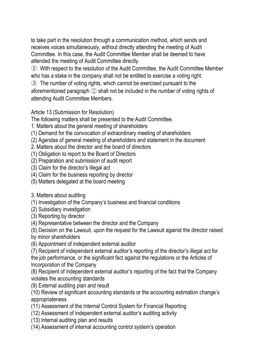to take part in the resolution through a communication method, which sends and receives voices simultaneously, without directly attending the meeting of Audit Committee. In this case, the Audit Committee Member shall be deemed to have attended the meeting of Audit Committee directly.

② With respect to the resolution of the Audit Committee, the Audit Committee Member who has a stake in the company shall not be entitled to exercise a voting right.

③ The number of voting rights, which cannot be exercised pursuant to the aforementioned paragraph ② shall not be included in the number of voting rights of attending Audit Committee Members.

Article 13 (Submission for Resolution)

The following matters shall be presented to the Audit Committee.

- 1. Matters about the general meeting of shareholders
- (1) Demand for the convocation of extraordinary meeting of shareholders
- (2) Agendas of general meeting of shareholders and statement in the document
- 2. Matters about the director and the board of directors
- (1) Obligation to report to the Board of Directors
- (2) Preparation and submission of audit report
- (3) Claim for the director's illegal act
- (4) Claim for the business reporting by director
- (5) Matters delegated at the board meeting

3. Matters about auditing

(1) Investigation of the Company's business and financial conditions

(2) Subsidiary investigation

(3) Reporting by director

(4) Representative between the director and the Company

(5) Decision on the Lawsuit, upon the request for the Lawsuit against the director raised

by minor shareholders

(6) Appointment of independent external auditor

(7) Recipient of independent external auditor's reporting of the director's illegal act for the job performance, or the significant fact against the regulations or the Articles of Incorporation of the Company

(8) Recipient of independent external auditor's reporting of the fact that the Company violates the accounting standards

(9) External auditing plan and result

(10) Review of significant accounting standards or the accounting estimation change's appropriateness

- (11) Assessment of the Internal Control System for Financial Reporting
- (12) Assessment of independent external auditor's auditing activity
- (13) Internal auditing plan and results

(14) Assessment of internal accounting control system's operation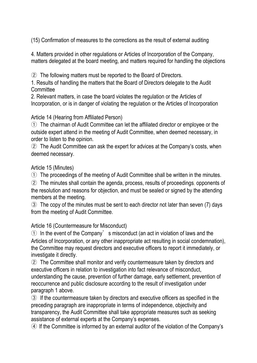(15) Confirmation of measures to the corrections as the result of external auditing

4. Matters provided in other regulations or Articles of Incorporation of the Company, matters delegated at the board meeting, and matters required for handling the objections

② The following matters must be reported to the Board of Directors.

1. Results of handling the matters that the Board of Directors delegate to the Audit **Committee** 

2. Relevant matters, in case the board violates the regulation or the Articles of Incorporation, or is in danger of violating the regulation or the Articles of Incorporation

#### Article 14 (Hearing from Affiliated Person)

① The chairman of Audit Committee can let the affiliated director or employee or the outside expert attend in the meeting of Audit Committee, when deemed necessary, in order to listen to the opinion.

② The Audit Committee can ask the expert for advices at the Company's costs, when deemed necessary.

#### Article 15 (Minutes)

① The proceedings of the meeting of Audit Committee shall be written in the minutes.

② The minutes shall contain the agenda, process, results of proceedings, opponents of the resolution and reasons for objection, and must be sealed or signed by the attending members at the meeting.

③ The copy of the minutes must be sent to each director not later than seven (7) days from the meeting of Audit Committee.

#### Article 16 (Countermeasure for Misconduct)

① In the event of the Company' s misconduct (an act in violation of laws and the Articles of Incorporation, or any other inappropriate act resulting in social condemnation), the Committee may request directors and executive officers to report it immediately, or investigate it directly.

② The Committee shall monitor and verify countermeasure taken by directors and executive officers in relation to investigation into fact relevance of misconduct, understanding the cause, prevention of further damage, early settlement, prevention of reoccurrence and public disclosure according to the result of investigation under paragraph 1 above.

③ If the countermeasure taken by directors and executive officers as specified in the preceding paragraph are inappropriate in terms of independence, objectivity and transparency, the Audit Committee shall take appropriate measures such as seeking assistance of external experts at the Company's expenses.

④ If the Committee is informed by an external auditor of the violation of the Company's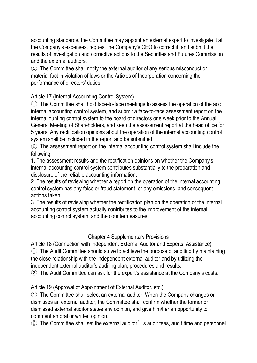accounting standards, the Committee may appoint an external expert to investigate it at the Company's expenses, request the Company's CEO to correct it, and submit the results of investigation and corrective actions to the Securities and Futures Commission and the external auditors.

⑤ The Committee shall notify the external auditor of any serious misconduct or material fact in violation of laws or the Articles of Incorporation concerning the performance of directors' duties.

Article 17 (Internal Accounting Control System)

① The Committee shall hold face-to-face meetings to assess the operation of the acc internal accounting control system, and submit a face-to-face assessment report on the internal ounting control system to the board of directors one week prior to the Annual General Meeting of Shareholders, and keep the assessment report at the head office for 5 years. Any rectification opinions about the operation of the internal accounting control system shall be included in the report and be submitted.

② The assessment report on the internal accounting control system shall include the following:

1. The assessment results and the rectification opinions on whether the Company's internal accounting control system contributes substantially to the preparation and disclosure of the reliable accounting information.

2. The results of reviewing whether a report on the operation of the internal accounting control system has any false or fraud statement, or any omissions, and consequent actions taken.

3. The results of reviewing whether the rectification plan on the operation of the internal accounting control system actually contributes to the improvement of the internal accounting control system, and the countermeasures.

# Chapter 4 Supplementary Provisions

Article 18 (Connection with Independent External Auditor and Experts' Assistance) ① The Audit Committee should strive to achieve the purpose of auditing by maintaining the close relationship with the independent external auditor and by utilizing the independent external auditor's auditing plan, procedures and results.

② The Audit Committee can ask for the expert's assistance at the Company's costs.

Article 19 (Approval of Appointment of External Auditor, etc.)

① The Committee shall select an external auditor. When the Company changes or dismisses an external auditor, the Committee shall confirm whether the former or dismissed external auditor states any opinion, and give him/her an opportunity to comment an oral or written opinion.

② The Committee shall set the external auditor' s audit fees, audit time and personnel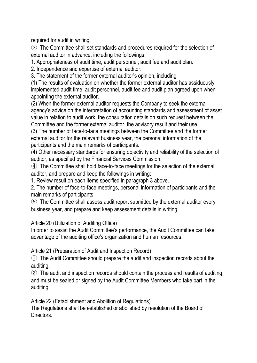required for audit in writing.

③ The Committee shall set standards and procedures required for the selection of external auditor in advance, including the followings:

1. Appropriateness of audit time, audit personnel, audit fee and audit plan.

2. Independence and expertise of external auditor.

3. The statement of the former external auditor's opinion, including

(1) The results of evaluation on whether the former external auditor has assiduously implemented audit time, audit personnel, audit fee and audit plan agreed upon when appointing the external auditor.

(2) When the former external auditor requests the Company to seek the external agency's advice on the interpretation of accounting standards and assessment of asset value in relation to audit work, the consultation details on such request between the Committee and the former external auditor, the advisory result and their use.

(3) The number of face-to-face meetings between the Committee and the former external auditor for the relevant business year, the personal information of the participants and the main remarks of participants.

(4) Other necessary standards for ensuring objectivity and reliability of the selection of auditor, as specified by the Financial Services Commission.

④ The Committee shall hold face-to-face meetings for the selection of the external auditor, and prepare and keep the followings in writing:

1. Review result on each items specified in paragraph 3 above.

2. The number of face-to-face meetings, personal information of participants and the main remarks of participants.

⑤ The Committee shall assess audit report submitted by the external auditor every business year, and prepare and keep assessment details in writing.

Article 20 (Utilization of Auditing Office)

In order to assist the Audit Committee's performance, the Audit Committee can take advantage of the auditing office's organization and human resources.

Article 21 (Preparation of Audit and Inspection Record)

① The Audit Committee should prepare the audit and inspection records about the auditing.

② The audit and inspection records should contain the process and results of auditing, and must be sealed or signed by the Audit Committee Members who take part in the auditing.

Article 22 (Establishment and Abolition of Regulations)

The Regulations shall be established or abolished by resolution of the Board of Directors.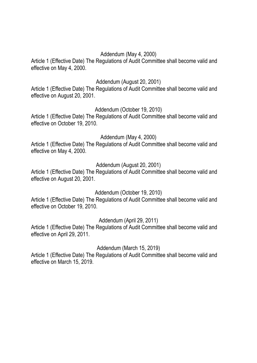### Addendum (May 4, 2000)

Article 1 (Effective Date) The Regulations of Audit Committee shall become valid and effective on May 4, 2000.

### Addendum (August 20, 2001)

Article 1 (Effective Date) The Regulations of Audit Committee shall become valid and effective on August 20, 2001.

### Addendum (October 19, 2010)

Article 1 (Effective Date) The Regulations of Audit Committee shall become valid and effective on October 19, 2010.

### Addendum (May 4, 2000)

Article 1 (Effective Date) The Regulations of Audit Committee shall become valid and effective on May 4, 2000.

### Addendum (August 20, 2001)

Article 1 (Effective Date) The Regulations of Audit Committee shall become valid and effective on August 20, 2001.

### Addendum (October 19, 2010)

Article 1 (Effective Date) The Regulations of Audit Committee shall become valid and effective on October 19, 2010.

### Addendum (April 29, 2011)

Article 1 (Effective Date) The Regulations of Audit Committee shall become valid and effective on April 29, 2011.

### Addendum (March 15, 2019)

Article 1 (Effective Date) The Regulations of Audit Committee shall become valid and effective on March 15, 2019.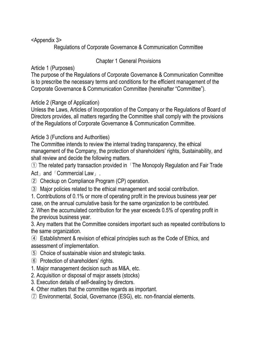<Appendix 3>

Regulations of Corporate Governance & Communication Committee

# Chapter 1 General Provisions

Article 1 (Purposes)

The purpose of the Regulations of Corporate Governance & Communication Committee is to prescribe the necessary terms and conditions for the efficient management of the Corporate Governance & Communication Committee (hereinafter "Committee").

Article 2 (Range of Application)

Unless the Laws, Articles of Incorporation of the Company or the Regulations of Board of Directors provides, all matters regarding the Committee shall comply with the provisions of the Regulations of Corporate Governance & Communication Committee.

Article 3 (Functions and Authorities)

The Committee intends to review the internal trading transparency, the ethical management of the Company, the protection of shareholders' rights, Sustainability, and shall review and decide the following matters.

① The related party transaction provided in「The Monopoly Regulation and Fair Trade Act」and「Commercial Law」.

② Checkup on Compliance Program (CP) operation.

③ Major policies related to the ethical management and social contribution.

1. Contributions of 0.1% or more of operating profit in the previous business year per case, on the annual cumulative basis for the same organization to be contributed.

2. When the accumulated contribution for the year exceeds 0.5% of operating profit in the previous business year.

3. Any matters that the Committee considers important such as repeated contributions to the same organization.

④ Establishment & revision of ethical principles such as the Code of Ethics, and assessment of implementation.

- ⑤ Choice of sustainable vision and strategic tasks.
- ⑥ Protection of shareholders' rights.
- 1. Major management decision such as M&A, etc.
- 2. Acquisition or disposal of major assets (stocks)
- 3. Execution details of self-dealing by directors.

4. Other matters that the committee regards as important.

⑦ Environmental, Social, Governance (ESG), etc. non-financial elements.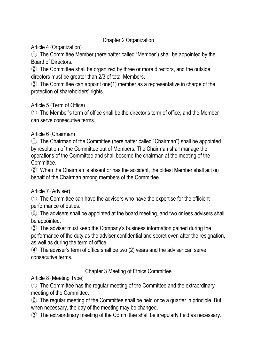## Chapter 2 Organization

# Article 4 (Organization)

① The Committee Member (hereinafter called "Member") shall be appointed by the Board of Directors.

② The Committee shall be organized by three or more directors, and the outside directors must be greater than 2/3 of total Members.

③ The Committee can appoint one(1) member as a representative in charge of the protection of shareholders' rights.

# Article 5 (Term of Office)

① The Member's term of office shall be the director's term of office, and the Member can serve consecutive terms.

# Article 6 (Chairman)

① The Chairman of the Committee (hereinafter called "Chairman") shall be appointed by resolution of the Committee out of Members. The Chairman shall manage the operations of the Committee and shall become the chairman at the meeting of the Committee.

② When the Chairman is absent or has the accident, the oldest Member shall act on behalf of the Chairman among members of the Committee.

# Article 7 (Adviser)

① The Committee can have the advisers who have the expertise for the efficient performance of duties.

② The advisers shall be appointed at the board meeting, and two or less advisers shall be appointed.

③ The adviser must keep the Company's business information gained during the performance of the duty as the adviser confidential and secret even after the resignation, as well as during the term of office.

④ The adviser's term of office shall be two (2) years and the adviser can serve consecutive terms.

# Chapter 3 Meeting of Ethics Committee

Article 8 (Meeting Type)

① The Committee has the regular meeting of the Committee and the extraordinary meeting of the Committee.

② The regular meeting of the Committee shall be held once a quarter in principle. But, when necessary, the day of the meeting may be changed.

③ The extraordinary meeting of the Committee shall be irregularly held as necessary.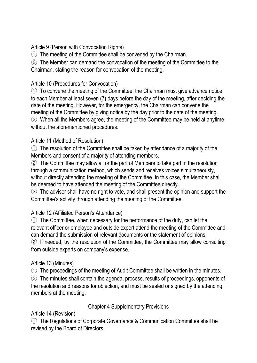Article 9 (Person with Convocation Rights)

① The meeting of the Committee shall be convened by the Chairman.

② The Member can demand the convocation of the meeting of the Committee to the Chairman, stating the reason for convocation of the meeting.

# Article 10 (Procedures for Convocation)

① To convene the meeting of the Committee, the Chairman must give advance notice to each Member at least seven (7) days before the day of the meeting, after deciding the date of the meeting. However, for the emergency, the Chairman can convene the meeting of the Committee by giving notice by the day prior to the date of the meeting. ② When all the Members agree, the meeting of the Committee may be held at anytime without the aforementioned procedures.

# Article 11 (Method of Resolution)

① The resolution of the Committee shall be taken by attendance of a majority of the Members and consent of a majority of attending members.

② The Committee may allow all or the part of Members to take part in the resolution through a communication method, which sends and receives voices simultaneously, without directly attending the meeting of the Committee. In this case, the Member shall be deemed to have attended the meeting of the Committee directly.

③ The adviser shall have no right to vote, and shall present the opinion and support the Committee's activity through attending the meeting of the Committee.

# Article 12 (Affiliated Person's Attendance)

① The Committee, when necessary for the performance of the duty, can let the relevant officer or employee and outside expert attend the meeting of the Committee and can demand the submission of relevant documents or the statement of opinions.

② If needed, by the resolution of the Committee, the Committee may allow consulting from outside experts on company's expense.

# Article 13 (Minutes)

① The proceedings of the meeting of Audit Committee shall be written in the minutes.

② The minutes shall contain the agenda, process, results of proceedings, opponents of the resolution and reasons for objection, and must be sealed or signed by the attending members at the meeting.

# Chapter 4 Supplementary Provisions

# Article 14 (Revision)

① The Regulations of Corporate Governance & Communication Committee shall be revised by the Board of Directors.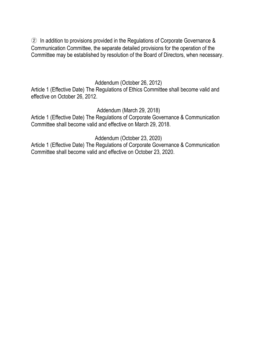② In addition to provisions provided in the Regulations of Corporate Governance & Communication Committee, the separate detailed provisions for the operation of the Committee may be established by resolution of the Board of Directors, when necessary.

#### Addendum (October 26, 2012)

Article 1 (Effective Date) The Regulations of Ethics Committee shall become valid and effective on October 26, 2012.

Addendum (March 29, 2018)

Article 1 (Effective Date) The Regulations of Corporate Governance & Communication Committee shall become valid and effective on March 29, 2018.

Addendum (October 23, 2020)

Article 1 (Effective Date) The Regulations of Corporate Governance & Communication Committee shall become valid and effective on October 23, 2020.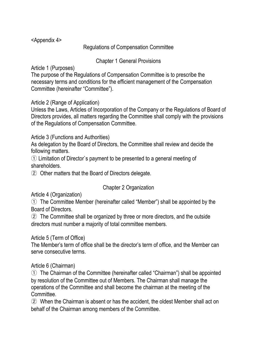<Appendix 4>

Regulations of Compensation Committee

Chapter 1 General Provisions

Article 1 (Purposes)

The purpose of the Regulations of Compensation Committee is to prescribe the necessary terms and conditions for the efficient management of the Compensation Committee (hereinafter "Committee").

Article 2 (Range of Application)

Unless the Laws, Articles of Incorporation of the Company or the Regulations of Board of Directors provides, all matters regarding the Committee shall comply with the provisions of the Regulations of Compensation Committee.

Article 3 (Functions and Authorities)

As delegation by the Board of Directors, the Committee shall review and decide the following matters.

① Limitation of Director`s payment to be presented to a general meeting of shareholders.

② Other matters that the Board of Directors delegate.

Chapter 2 Organization

Article 4 (Organization)

① The Committee Member (hereinafter called "Member") shall be appointed by the Board of Directors.

② The Committee shall be organized by three or more directors, and the outside directors must number a majority of total committee members.

Article 5 (Term of Office)

The Member's term of office shall be the director's term of office, and the Member can serve consecutive terms.

Article 6 (Chairman)

① The Chairman of the Committee (hereinafter called "Chairman") shall be appointed by resolution of the Committee out of Members. The Chairman shall manage the operations of the Committee and shall become the chairman at the meeting of the Committee.

② When the Chairman is absent or has the accident, the oldest Member shall act on behalf of the Chairman among members of the Committee.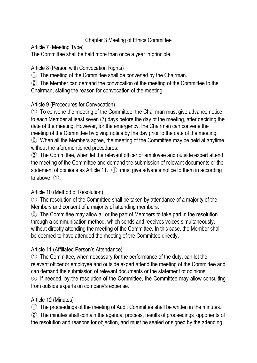# Chapter 3 Meeting of Ethics Committee

Article 7 (Meeting Type)

The Committee shall be held more than once a year in principle.

Article 8 (Person with Convocation Rights)

① The meeting of the Committee shall be convened by the Chairman.

② The Member can demand the convocation of the meeting of the Committee to the Chairman, stating the reason for convocation of the meeting.

# Article 9 (Procedures for Convocation)

① To convene the meeting of the Committee, the Chairman must give advance notice to each Member at least seven (7) days before the day of the meeting, after deciding the date of the meeting. However, for the emergency, the Chairman can convene the meeting of the Committee by giving notice by the day prior to the date of the meeting.

② When all the Members agree, the meeting of the Committee may be held at anytime without the aforementioned procedures.

③ The Committee, when let the relevant officer or employee and outside expert attend the meeting of the Committee and demand the submission of relevant documents or the statement of opinions as Article 11. ①, must give advance notice to them in according to above ①.

# Article 10 (Method of Resolution)

① The resolution of the Committee shall be taken by attendance of a majority of the Members and consent of a majority of attending members.

② The Committee may allow all or the part of Members to take part in the resolution through a communication method, which sends and receives voices simultaneously, without directly attending the meeting of the Committee. In this case, the Member shall be deemed to have attended the meeting of the Committee directly.

# Article 11 (Affiliated Person's Attendance)

① The Committee, when necessary for the performance of the duty, can let the relevant officer or employee and outside expert attend the meeting of the Committee and can demand the submission of relevant documents or the statement of opinions. ② If needed, by the resolution of the Committee, the Committee may allow consulting

from outside experts on company's expense.

# Article 12 (Minutes)

① The proceedings of the meeting of Audit Committee shall be written in the minutes.

② The minutes shall contain the agenda, process, results of proceedings, opponents of the resolution and reasons for objection, and must be sealed or signed by the attending